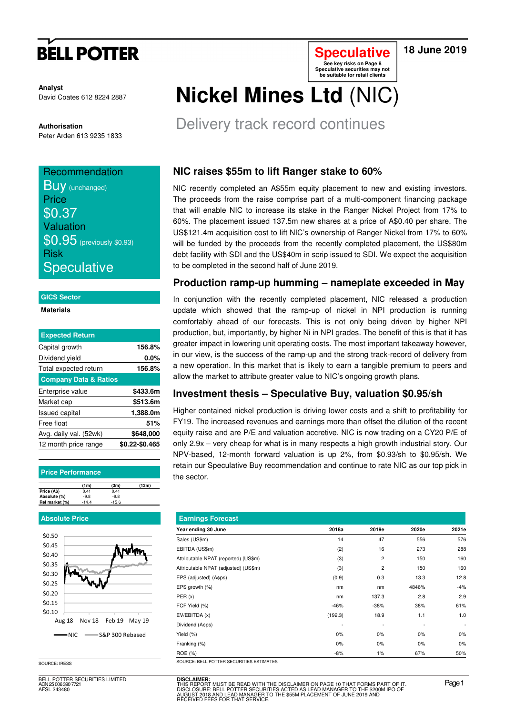# **BELL POTTER**

### **18 June 2019**

**Analyst** David Coates 612 8224 2887

**Authorisation**  Peter Arden 613 9235 1833

## **Recommendation BUV** (unchanged) **Price**

\$0.37 Valuation \$0.95 (previously \$0.93) Risk **Speculative** 

#### **GICS Sector**

**Materials** 

| <b>Expected Return</b>           |                |
|----------------------------------|----------------|
| Capital growth                   | 156.8%         |
| Dividend yield                   | $0.0\%$        |
| Total expected return            | 156.8%         |
| <b>Company Data &amp; Ratios</b> |                |
| Enterprise value                 | \$433.6m       |
| Market cap                       | \$513.6m       |
| <b>Issued capital</b>            | 1,388.0m       |
| Free float                       | 51%            |
| Avg. daily val. (52wk)           | \$648,000      |
| 12 month price range             | \$0.22-\$0.465 |
|                                  |                |

#### **Price Performance**

|                | (1 <sub>m</sub> ) | (3m)    | (12m) |
|----------------|-------------------|---------|-------|
| Price (A\$)    | 0.41              | 0.41    |       |
| Absolute (%)   | $-9.8$            | $-9.8$  |       |
| Rel market (%) | $-14.4$           | $-15.6$ |       |

#### **Absolute Price**



SOURCE: IRESS

BELL POTTER SECURITIES LIMITED ACN 25 006 390 7721 AFSL 243480

# **Nickel Mines Ltd** (NIC)

Delivery track record continues

### **NIC raises \$55m to lift Ranger stake to 60%**

NIC recently completed an A\$55m equity placement to new and existing investors. The proceeds from the raise comprise part of a multi-component financing package that will enable NIC to increase its stake in the Ranger Nickel Project from 17% to 60%. The placement issued 137.5m new shares at a price of A\$0.40 per share. The US\$121.4m acquisition cost to lift NIC's ownership of Ranger Nickel from 17% to 60% will be funded by the proceeds from the recently completed placement, the US\$80m debt facility with SDI and the US\$40m in scrip issued to SDI. We expect the acquisition to be completed in the second half of June 2019.

**Speculative See key risks on Page 8 Speculative securities may not be suitable for retail clients** 

### **Production ramp-up humming – nameplate exceeded in May**

In conjunction with the recently completed placement, NIC released a production update which showed that the ramp-up of nickel in NPI production is running comfortably ahead of our forecasts. This is not only being driven by higher NPI production, but, importantly, by higher Ni in NPI grades. The benefit of this is that it has greater impact in lowering unit operating costs. The most important takeaway however, in our view, is the success of the ramp-up and the strong track-record of delivery from a new operation. In this market that is likely to earn a tangible premium to peers and allow the market to attribute greater value to NIC's ongoing growth plans.

### **Investment thesis – Speculative Buy, valuation \$0.95/sh**

Higher contained nickel production is driving lower costs and a shift to profitability for FY19. The increased revenues and earnings more than offset the dilution of the recent equity raise and are P/E and valuation accretive. NIC is now trading on a CY20 P/E of only 2.9x – very cheap for what is in many respects a high growth industrial story. Our NPV-based, 12-month forward valuation is up 2%, from \$0.93/sh to \$0.95/sh. We retain our Speculative Buy recommendation and continue to rate NIC as our top pick in the sector.

| <b>Earnings Forecast</b>                 |         |                          |       |                          |
|------------------------------------------|---------|--------------------------|-------|--------------------------|
| Year ending 30 June                      | 2018a   | 2019e                    | 2020e | 2021e                    |
| Sales (US\$m)                            | 14      | 47                       | 556   | 576                      |
| EBITDA (US\$m)                           | (2)     | 16                       | 273   | 288                      |
| Attributable NPAT (reported) (US\$m)     | (3)     | 2                        | 150   | 160                      |
| Attributable NPAT (adjusted) (US\$m)     | (3)     | 2                        | 150   | 160                      |
| EPS (adjusted) (A¢ps)                    | (0.9)   | 0.3                      | 13.3  | 12.8                     |
| EPS growth (%)                           | nm      | nm                       | 4846% | $-4%$                    |
| PER(x)                                   | nm      | 137.3                    | 2.8   | 2.9                      |
| FCF Yield (%)                            | $-46%$  | $-38%$                   | 38%   | 61%                      |
| EV/EBITDA (x)                            | (192.3) | 18.9                     | 1.1   | 1.0                      |
| Dividend (A¢ps)                          |         | $\overline{\phantom{0}}$ |       | $\overline{\phantom{a}}$ |
| Yield (%)                                | 0%      | 0%                       | $0\%$ | $0\%$                    |
| Franking (%)                             | $0\%$   | 0%                       | $0\%$ | $0\%$                    |
| ROE (%)                                  | $-8%$   | $1\%$                    | 67%   | 50%                      |
| SOURCE: RELL POTTER SECURITIES ESTIMATES |         |                          |       |                          |

**DISCLAIMER:** THIS REPORT MUST BE READ WITH THE DISCLAIMER ON PAGE 10 THAT FORMS PART OF IT.<br>DISCLOSURE: BELL POTTER SECURITIES ACTED AS LEAD MANAGER TO THE \$200M IPO OF<br>AUGUST 2018 AND LEAD MANAGER TO THE \$55M PLACEMENT OF JUNE 2019 AN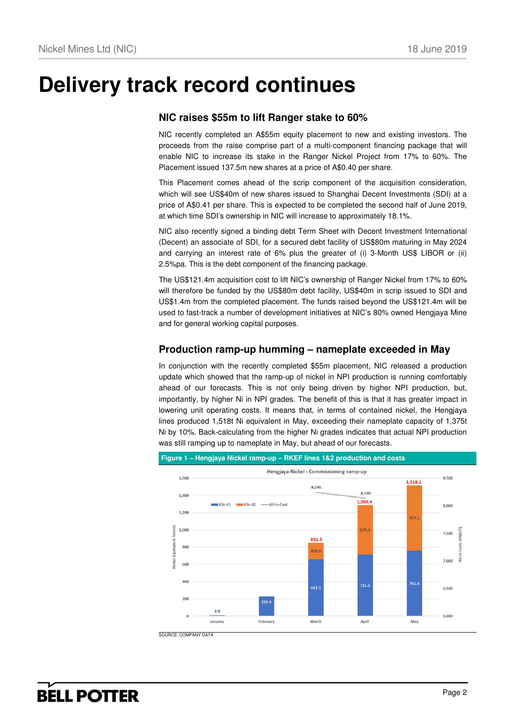# **Delivery track record continues**

### **NIC raises \$55m to lift Ranger stake to 60%**

NIC recently completed an A\$55m equity placement to new and existing investors. The proceeds from the raise comprise part of a multi-component financing package that will enable NIC to increase its stake in the Ranger Nickel Project from 17% to 60%. The Placement issued 137.5m new shares at a price of A\$0.40 per share.

This Placement comes ahead of the scrip component of the acquisition consideration, which will see US\$40m of new shares issued to Shanghai Decent Investments (SDI) at a price of A\$0.41 per share. This is expected to be completed the second half of June 2019, at which time SDI's ownership in NIC will increase to approximately 18.1%.

NIC also recently signed a binding debt Term Sheet with Decent Investment International (Decent) an associate of SDI, for a secured debt facility of US\$80m maturing in May 2024 and carrying an interest rate of 6% plus the greater of (i) 3-Month US\$ LIBOR or (ii) 2.5%pa. This is the debt component of the financing package.

The US\$121.4m acquisition cost to lift NIC's ownership of Ranger Nickel from 17% to 60% will therefore be funded by the US\$80m debt facility, US\$40m in scrip issued to SDI and US\$1.4m from the completed placement. The funds raised beyond the US\$121.4m will be used to fast-track a number of development initiatives at NIC's 80% owned Hengjaya Mine and for general working capital purposes.

### **Production ramp-up humming – nameplate exceeded in May**

In conjunction with the recently completed \$55m placement, NIC released a production update which showed that the ramp-up of nickel in NPI production is running comfortably ahead of our forecasts. This is not only being driven by higher NPI production, but, importantly, by higher Ni in NPI grades. The benefit of this is that it has greater impact in lowering unit operating costs. It means that, in terms of contained nickel, the Hengjaya lines produced 1,518t Ni equivalent in May, exceeding their nameplate capacity of 1,375t Ni by 10%. Back-calculating from the higher Ni grades indicates that actual NPI production was still ramping up to nameplate in May, but ahead of our forecasts.

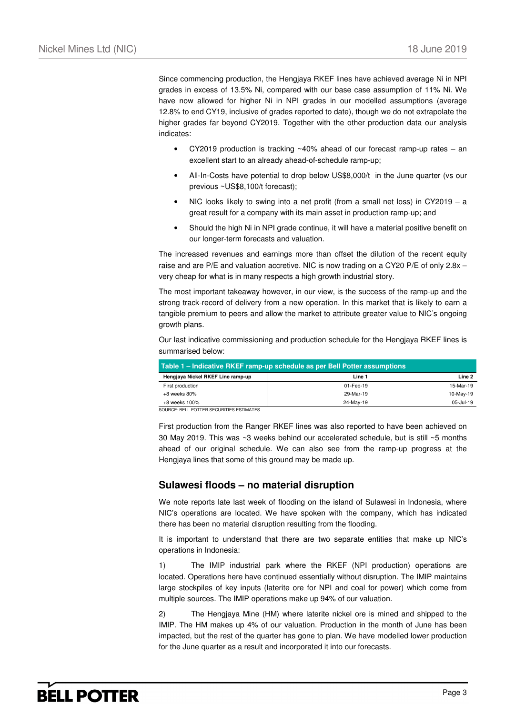Since commencing production, the Hengjaya RKEF lines have achieved average Ni in NPI grades in excess of 13.5% Ni, compared with our base case assumption of 11% Ni. We have now allowed for higher Ni in NPI grades in our modelled assumptions (average 12.8% to end CY19, inclusive of grades reported to date), though we do not extrapolate the higher grades far beyond CY2019. Together with the other production data our analysis indicates:

- CY2019 production is tracking  $~40\%$  ahead of our forecast ramp-up rates an excellent start to an already ahead-of-schedule ramp-up;
- All-In-Costs have potential to drop below US\$8,000/t in the June quarter (vs our previous ~US\$8,100/t forecast);
- NIC looks likely to swing into a net profit (from a small net loss) in CY2019 a great result for a company with its main asset in production ramp-up; and
- Should the high Ni in NPI grade continue, it will have a material positive benefit on our longer-term forecasts and valuation.

The increased revenues and earnings more than offset the dilution of the recent equity raise and are P/E and valuation accretive. NIC is now trading on a CY20 P/E of only 2.8x – very cheap for what is in many respects a high growth industrial story.

The most important takeaway however, in our view, is the success of the ramp-up and the strong track-record of delivery from a new operation. In this market that is likely to earn a tangible premium to peers and allow the market to attribute greater value to NIC's ongoing growth plans.

Our last indicative commissioning and production schedule for the Hengjaya RKEF lines is summarised below:

| Table 1 – Indicative RKEF ramp-up schedule as per Bell Potter assumptions |           |           |  |  |  |  |  |
|---------------------------------------------------------------------------|-----------|-----------|--|--|--|--|--|
| Hengjaya Nickel RKEF Line ramp-up                                         | Line 1    | Line 2    |  |  |  |  |  |
| First production                                                          | 01-Feb-19 | 15-Mar-19 |  |  |  |  |  |
| +8 weeks 80%                                                              | 29-Mar-19 | 10-May-19 |  |  |  |  |  |
| +8 weeks 100%                                                             | 24-May-19 | 05-Jul-19 |  |  |  |  |  |

SOURCE: BELL POTTER SECURITIES ESTIMATES

First production from the Ranger RKEF lines was also reported to have been achieved on 30 May 2019. This was ~3 weeks behind our accelerated schedule, but is still ~5 months ahead of our original schedule. We can also see from the ramp-up progress at the Hengjaya lines that some of this ground may be made up.

### **Sulawesi floods – no material disruption**

We note reports late last week of flooding on the island of Sulawesi in Indonesia, where NIC's operations are located. We have spoken with the company, which has indicated there has been no material disruption resulting from the flooding.

It is important to understand that there are two separate entities that make up NIC's operations in Indonesia:

1) The IMIP industrial park where the RKEF (NPI production) operations are located. Operations here have continued essentially without disruption. The IMIP maintains large stockpiles of key inputs (laterite ore for NPI and coal for power) which come from multiple sources. The IMIP operations make up 94% of our valuation.

2) The Hengjaya Mine (HM) where laterite nickel ore is mined and shipped to the IMIP. The HM makes up 4% of our valuation. Production in the month of June has been impacted, but the rest of the quarter has gone to plan. We have modelled lower production for the June quarter as a result and incorporated it into our forecasts.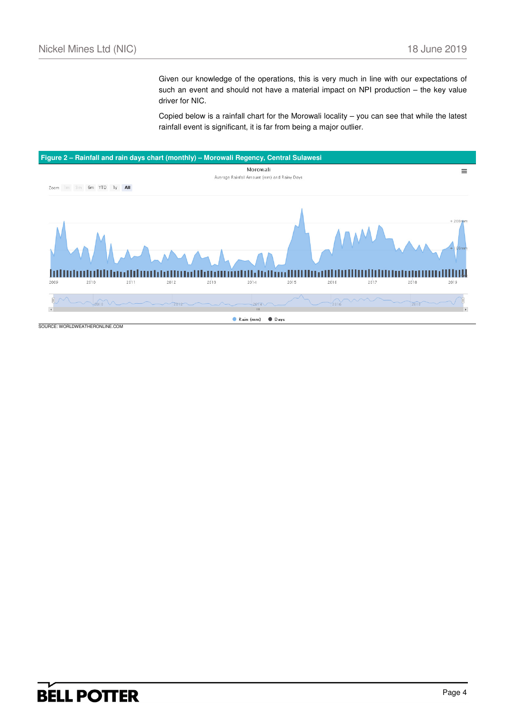Given our knowledge of the operations, this is very much in line with our expectations of such an event and should not have a material impact on NPI production – the key value driver for NIC.

Copied below is a rainfall chart for the Morowali locality – you can see that while the latest rainfall event is significant, it is far from being a major outlier.

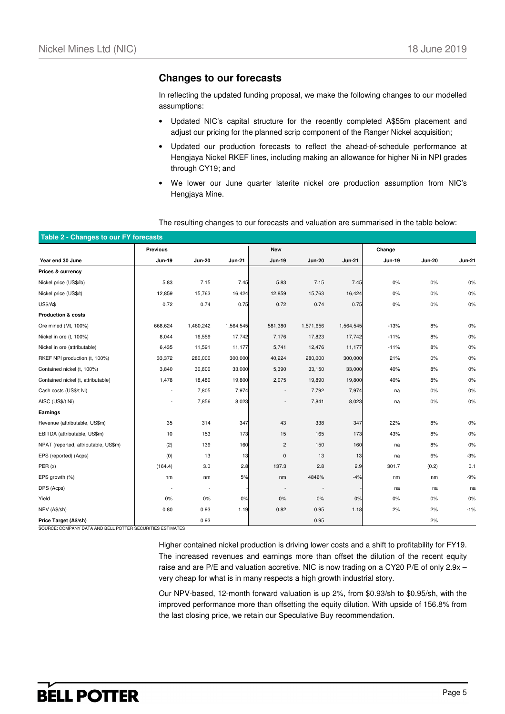### **Changes to our forecasts**

In reflecting the updated funding proposal, we make the following changes to our modelled assumptions:

- Updated NIC's capital structure for the recently completed A\$55m placement and adjust our pricing for the planned scrip component of the Ranger Nickel acquisition;
- Updated our production forecasts to reflect the ahead-of-schedule performance at Hengjaya Nickel RKEF lines, including making an allowance for higher Ni in NPI grades through CY19; and
- We lower our June quarter laterite nickel ore production assumption from NIC's Hengjaya Mine.

#### The resulting changes to our forecasts and valuation are summarised in the table below:

| Table 2 - Changes to our FY forecasts |                          |               |               |               |               |               |        |               |               |
|---------------------------------------|--------------------------|---------------|---------------|---------------|---------------|---------------|--------|---------------|---------------|
|                                       | <b>Previous</b>          |               |               | <b>New</b>    |               |               | Change |               |               |
| Year end 30 June                      | <b>Jun-19</b>            | <b>Jun-20</b> | <b>Jun-21</b> | <b>Jun-19</b> | <b>Jun-20</b> | <b>Jun-21</b> | Jun-19 | <b>Jun-20</b> | <b>Jun-21</b> |
| Prices & currency                     |                          |               |               |               |               |               |        |               |               |
| Nickel price (US\$/lb)                | 5.83                     | 7.15          | 7.45          | 5.83          | 7.15          | 7.45          | $0\%$  | $0\%$         | 0%            |
| Nickel price (US\$/t)                 | 12,859                   | 15,763        | 16,424        | 12,859        | 15,763        | 16,424        | $0\%$  | $0\%$         | 0%            |
| <b>US\$/A\$</b>                       | 0.72                     | 0.74          | 0.75          | 0.72          | 0.74          | 0.75          | 0%     | $0\%$         | 0%            |
| <b>Production &amp; costs</b>         |                          |               |               |               |               |               |        |               |               |
| Ore mined (Mt, 100%)                  | 668,624                  | 1,460,242     | 1,564,545     | 581,380       | 1,571,656     | 1,564,545     | $-13%$ | 8%            | 0%            |
| Nickel in ore (t, 100%)               | 8,044                    | 16,559        | 17,742        | 7,176         | 17,823        | 17,742        | $-11%$ | 8%            | 0%            |
| Nickel in ore (attributable)          | 6,435                    | 11,591        | 11,177        | 5,741         | 12,476        | 11,177        | $-11%$ | 8%            | 0%            |
| RKEF NPI production (t, 100%)         | 33,372                   | 280,000       | 300,000       | 40,224        | 280,000       | 300,000       | 21%    | $0\%$         | 0%            |
| Contained nickel (t, 100%)            | 3,840                    | 30,800        | 33,000        | 5,390         | 33,150        | 33,000        | 40%    | 8%            | 0%            |
| Contained nickel (t, attributable)    | 1,478                    | 18,480        | 19,800        | 2,075         | 19,890        | 19,800        | 40%    | 8%            | 0%            |
| Cash costs (US\$/t Ni)                | $\tilde{\phantom{a}}$    | 7,805         | 7,974         | $\sim$        | 7,792         | 7,974         | na     | $0\%$         | 0%            |
| AISC (US\$/t Ni)                      | $\overline{\phantom{a}}$ | 7,856         | 8,023         |               | 7,841         | 8,023         | na     | $0\%$         | 0%            |
| Earnings                              |                          |               |               |               |               |               |        |               |               |
| Revenue (attributable, US\$m)         | 35                       | 314           | 347           | 43            | 338           | 347           | 22%    | 8%            | 0%            |
| EBITDA (attributable, US\$m)          | 10                       | 153           | 173           | 15            | 165           | 173           | 43%    | 8%            | $0\%$         |
| NPAT (reported, attributable, US\$m)  | (2)                      | 139           | 160           | 2             | 150           | 160           | na     | 8%            | 0%            |
| EPS (reported) (Acps)                 | (0)                      | 13            | 13            | 0             | 13            | 13            | na     | 6%            | $-3%$         |
| PER(x)                                | (164.4)                  | 3.0           | 2.8           | 137.3         | 2.8           | 2.9           | 301.7  | (0.2)         | 0.1           |
| EPS growth (%)                        | nm                       | nm            | 5%            | nm            | 4846%         | $-4%$         | nm     | nm            | $-9%$         |
| DPS (Acps)                            |                          | $\sim$        |               |               |               |               | na     | na            | na            |
| Yield                                 | 0%                       | 0%            | 0%            | 0%            | 0%            | 0%            | $0\%$  | $0\%$         | $0\%$         |
| NPV (A\$/sh)                          | 0.80                     | 0.93          | 1.19          | 0.82          | 0.95          | 1.18          | 2%     | 2%            | $-1%$         |
| Price Target (A\$/sh)                 |                          | 0.93          |               |               | 0.95          |               |        | 2%            |               |

SOURCE: COMPANY DATA AND BELL POTTER SECURITIES ESTIMATES

Higher contained nickel production is driving lower costs and a shift to profitability for FY19. The increased revenues and earnings more than offset the dilution of the recent equity raise and are P/E and valuation accretive. NIC is now trading on a CY20 P/E of only 2.9x – very cheap for what is in many respects a high growth industrial story.

Our NPV-based, 12-month forward valuation is up 2%, from \$0.93/sh to \$0.95/sh, with the improved performance more than offsetting the equity dilution. With upside of 156.8% from the last closing price, we retain our Speculative Buy recommendation.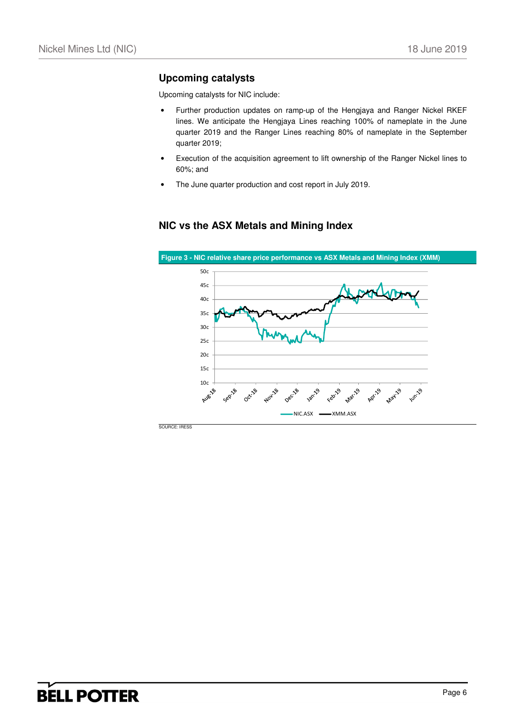## **Upcoming catalysts**

Upcoming catalysts for NIC include:

- Further production updates on ramp-up of the Hengjaya and Ranger Nickel RKEF lines. We anticipate the Hengjaya Lines reaching 100% of nameplate in the June quarter 2019 and the Ranger Lines reaching 80% of nameplate in the September quarter 2019;
- Execution of the acquisition agreement to lift ownership of the Ranger Nickel lines to 60%; and
- The June quarter production and cost report in July 2019.

### **NIC vs the ASX Metals and Mining Index**

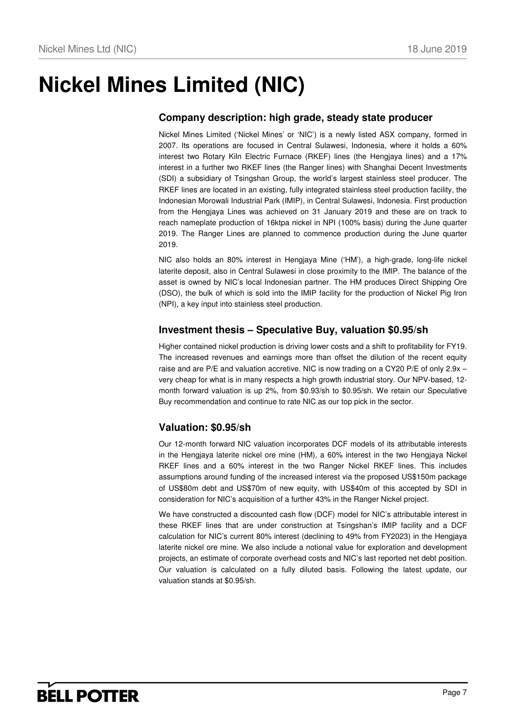# **Nickel Mines Limited (NIC)**

### **Company description: high grade, steady state producer**

Nickel Mines Limited ('Nickel Mines' or 'NIC') is a newly listed ASX company, formed in 2007. Its operations are focused in Central Sulawesi, Indonesia, where it holds a 60% interest two Rotary Kiln Electric Furnace (RKEF) lines (the Hengjaya lines) and a 17% interest in a further two RKEF lines (the Ranger lines) with Shanghai Decent Investments (SDI) a subsidiary of Tsingshan Group, the world's largest stainless steel producer. The RKEF lines are located in an existing, fully integrated stainless steel production facility, the Indonesian Morowali Industrial Park (IMIP), in Central Sulawesi, Indonesia. First production from the Hengjaya Lines was achieved on 31 January 2019 and these are on track to reach nameplate production of 16ktpa nickel in NPI (100% basis) during the June quarter 2019. The Ranger Lines are planned to commence production during the June quarter 2019.

NIC also holds an 80% interest in Hengjaya Mine ('HM'), a high-grade, long-life nickel laterite deposit, also in Central Sulawesi in close proximity to the IMIP. The balance of the asset is owned by NIC's local Indonesian partner. The HM produces Direct Shipping Ore (DSO), the bulk of which is sold into the IMIP facility for the production of Nickel Pig Iron (NPI), a key input into stainless steel production.

### **Investment thesis – Speculative Buy, valuation \$0.95/sh**

Higher contained nickel production is driving lower costs and a shift to profitability for FY19. The increased revenues and earnings more than offset the dilution of the recent equity raise and are P/E and valuation accretive. NIC is now trading on a CY20 P/E of only 2.9x – very cheap for what is in many respects a high growth industrial story. Our NPV-based, 12 month forward valuation is up 2%, from \$0.93/sh to \$0.95/sh. We retain our Speculative Buy recommendation and continue to rate NIC as our top pick in the sector.

### **Valuation: \$0.95/sh**

Our 12-month forward NIC valuation incorporates DCF models of its attributable interests in the Hengjaya laterite nickel ore mine (HM), a 60% interest in the two Hengjaya Nickel RKEF lines and a 60% interest in the two Ranger Nickel RKEF lines. This includes assumptions around funding of the increased interest via the proposed US\$150m package of US\$80m debt and US\$70m of new equity, with US\$40m of this accepted by SDI in consideration for NIC's acquisition of a further 43% in the Ranger Nickel project.

We have constructed a discounted cash flow (DCF) model for NIC's attributable interest in these RKEF lines that are under construction at Tsingshan's IMIP facility and a DCF calculation for NIC's current 80% interest (declining to 49% from FY2023) in the Hengjaya laterite nickel ore mine. We also include a notional value for exploration and development projects, an estimate of corporate overhead costs and NIC's last reported net debt position. Our valuation is calculated on a fully diluted basis. Following the latest update, our valuation stands at \$0.95/sh.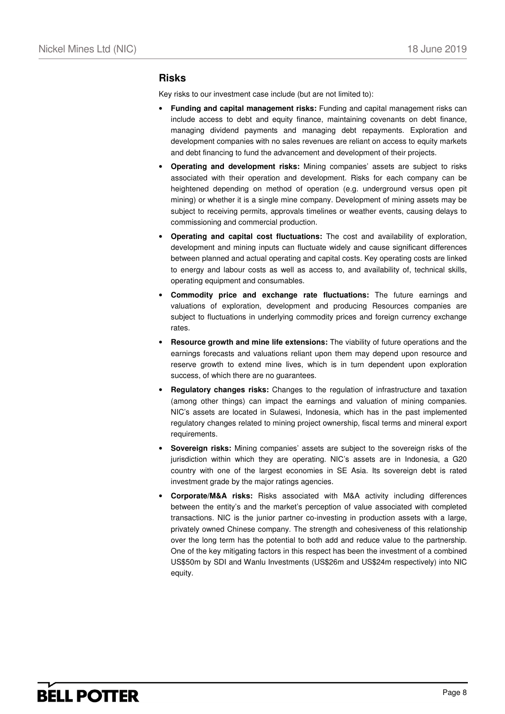### **Risks**

Key risks to our investment case include (but are not limited to):

- **Funding and capital management risks:** Funding and capital management risks can include access to debt and equity finance, maintaining covenants on debt finance, managing dividend payments and managing debt repayments. Exploration and development companies with no sales revenues are reliant on access to equity markets and debt financing to fund the advancement and development of their projects.
- **Operating and development risks:** Mining companies' assets are subject to risks associated with their operation and development. Risks for each company can be heightened depending on method of operation (e.g. underground versus open pit mining) or whether it is a single mine company. Development of mining assets may be subject to receiving permits, approvals timelines or weather events, causing delays to commissioning and commercial production.
- **Operating and capital cost fluctuations:** The cost and availability of exploration, development and mining inputs can fluctuate widely and cause significant differences between planned and actual operating and capital costs. Key operating costs are linked to energy and labour costs as well as access to, and availability of, technical skills, operating equipment and consumables.
- **Commodity price and exchange rate fluctuations:** The future earnings and valuations of exploration, development and producing Resources companies are subject to fluctuations in underlying commodity prices and foreign currency exchange rates.
- **Resource growth and mine life extensions:** The viability of future operations and the earnings forecasts and valuations reliant upon them may depend upon resource and reserve growth to extend mine lives, which is in turn dependent upon exploration success, of which there are no guarantees.
- **Regulatory changes risks:** Changes to the regulation of infrastructure and taxation (among other things) can impact the earnings and valuation of mining companies. NIC's assets are located in Sulawesi, Indonesia, which has in the past implemented regulatory changes related to mining project ownership, fiscal terms and mineral export requirements.
- **Sovereign risks:** Mining companies' assets are subject to the sovereign risks of the jurisdiction within which they are operating. NIC's assets are in Indonesia, a G20 country with one of the largest economies in SE Asia. Its sovereign debt is rated investment grade by the major ratings agencies.
- **Corporate/M&A risks:** Risks associated with M&A activity including differences between the entity's and the market's perception of value associated with completed transactions. NIC is the junior partner co-investing in production assets with a large, privately owned Chinese company. The strength and cohesiveness of this relationship over the long term has the potential to both add and reduce value to the partnership. One of the key mitigating factors in this respect has been the investment of a combined US\$50m by SDI and Wanlu Investments (US\$26m and US\$24m respectively) into NIC equity.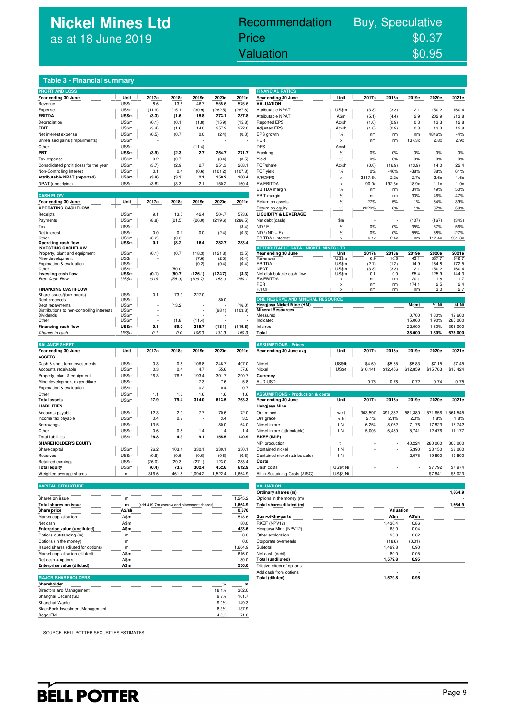# **Nickel Mines Ltd** as at 18 June 2019

# Nickel Mines Ltd (Nickel Mines Ltd (Nickel Mines Ltd (Nickel Mines Ltd (Nickel Mines Ltd (Nickel Mines Ltd (Ni<br>Nickel Mines Ltd (Nickel Mines Ltd (Nickel Mines Ltd (Nickel Mines Ltd (Nickel Mines Ltd (Nickel Mines Ltd (Ni Recommendation Buy, Speculative Price \$0.37<br>Valuation \$0.95

### **Table 3 - Financial summary**

| <b>PROFIT AND LOSS</b>                                  |                |        |        |         |         |         | <b>FINANCIAL RATIOS</b>                               |                           |            |           |          |           |           |
|---------------------------------------------------------|----------------|--------|--------|---------|---------|---------|-------------------------------------------------------|---------------------------|------------|-----------|----------|-----------|-----------|
| Year ending 30 June<br>.                                | Unit           | 2017a  | 2018a  | 2019e   | 2020e   | 2021e   | Year ending 30 June                                   | Unit                      | 2017a      | 2018a     | 2019e    | 2020e     | 2021e     |
| Revenue                                                 | US\$m          | 8.6    | 13.6   | 46.7    | 555.6   | 575.6   | <b>VALUATION</b>                                      |                           |            |           |          |           |           |
| Expense                                                 | US\$m          | (11.9) | (15.1) | (30.9)  | (282.5) | (287.8) | Attributable NPAT                                     | US\$m                     | (3.8)      | (3.3)     | 2.1      | 150.2     | 160.4     |
| <b>EBITDA</b>                                           | US\$m          | (3.3)  | (1.6)  | 15.8    | 273.1   | 287.8   | Attributable NPAT                                     | A\$m                      | (5.1)      | (4.4)     | 2.9      | 202.9     | 213.8     |
| Depreciation                                            | US\$m          | (0.1)  | (0.1)  | (1.8)   | (15.9)  | (15.8)  | <b>Reported EPS</b>                                   | Ac/sh                     | (1.6)      | (0.9)     | 0.3      | 13.3      | 12.8      |
| EBIT                                                    | US\$m          | (3.4)  | (1.6)  | 14.0    | 257.2   | 272.0   | <b>Adjusted EPS</b>                                   | Ac/sh                     | (1.6)      | (0.9)     | 0.3      | 13.3      | 12.8      |
|                                                         | US\$m          |        |        |         |         |         | EPS growth                                            | $\%$                      |            |           |          | 4846%     | $-4%$     |
| Net interest expense                                    |                | (0.5)  | (0.7)  | 0.0     | (2.4)   | (0.3)   |                                                       |                           | nm         | nm        | nm       |           |           |
| Unrealised gains (Impairments)                          | US\$m          |        |        |         |         |         | PER                                                   | X                         | nm         | nm        | 137.3x   | 2.8x      | 2.9x      |
| Other                                                   | US\$m          |        |        | (11.4)  |         |         | <b>DPS</b>                                            | Ac/sh                     |            |           |          |           |           |
| PBT                                                     | US\$m          | (3.9)  | (2.3)  | 2.7     | 254.7   | 271.7   | Franking                                              | %                         | 0%         | 0%        | 0%       | 0%        | 0%        |
| Tax expense                                             | US\$m          | 0.2    | (0.7)  | ÷       | (3.4)   | (3.5)   | Yield                                                 | $\%$                      | 0%         | 0%        | 0%       | 0%        | 0%        |
| Consolidated profit (loss) for the year                 | US\$m          | (3.7)  | (2.9)  | 2.7     | 251.3   | 268.1   | FCF/share                                             | Ac/sh                     | (0.0)      | (16.9)    | (13.9)   | 14.0      | 22.4      |
| Non-Controlling Interest                                | US\$m          | 0.1    | 0.4    | (0.6)   | (101.2) | (107.8) | FCF yield                                             | %                         | 0%         | $-46%$    | $-38%$   | 38%       | 61%       |
| <b>Attributable NPAT (reported)</b>                     | <b>US\$m</b>   | (3.8)  | (3.3)  | 2.1     | 150.2   | 160.4   | P/FCFPS                                               | $\boldsymbol{\mathsf{x}}$ | $-3317.6x$ | $-2.2x$   | $-2.7x$  | 2.6x      | 1.6x      |
| NPAT (underlying)                                       | US\$m          | (3.8)  | (3.3)  | 2.1     | 150.2   | 160.4   | EV/EBITDA                                             | $\boldsymbol{\mathsf{x}}$ | $-90.0x$   | $-192.3x$ | 18.9x    | 1.1x      | 1.0x      |
|                                                         |                |        |        |         |         |         | EBITDA margin                                         | $\%$                      | nm         | nm        | 34%      | 49%       | 50%       |
| <b>CASH FLOW</b>                                        |                |        |        |         |         |         | EBIT margin                                           | $\%$                      | nm         | nm        | 30%      | 46%       | 47%       |
| Year ending 30 June                                     | Unit           | 2017a  | 2018a  | 2019e   | 2020e   | 2021e   | Return on assets                                      | $\%$                      | $-27%$     | $-5%$     | 1%       | 54%       | 39%       |
| <b>OPERATING CASHFLOW</b>                               |                |        |        |         |         |         |                                                       |                           |            |           |          |           |           |
|                                                         |                |        |        |         |         |         | Return on equity                                      | %                         | 2029%      | $-8%$     | 1%       | 67%       | 50%       |
| Receipts                                                | US\$m          | 9.1    | 13.5   | 42.4    | 504.7   | 573.6   | <b>LIQUIDITY &amp; LEVERAGE</b>                       |                           |            |           |          |           |           |
| Payments                                                | US\$m          | (8.8)  | (21.5) | (26.0)  | (219.6) | (286.5) | Net debt (cash)                                       | \$m                       |            |           | (107)    | (167)     | (343)     |
| Tax                                                     | US\$m          |        |        |         |         | (3.4)   | ND / E                                                | $\%$                      | 0%         | 0%        | $-35%$   | $-37%$    | $-56%$    |
| Net interest                                            | US\$m          | 0.0    | 0.1    | 0.0     | (2.4)   | (0.3)   | $ND / (ND + E)$                                       | $\%$                      | 0%         | 0%        | $-55%$   | $-58%$    | $-127%$   |
| Other                                                   | US\$m          | (0.2)  | (0.3)  |         |         |         | EBITDA / Interest                                     | X                         | $-6.1x$    | $-2.4x$   | nm       | 112.4x    | 981.3x    |
| Operating cash flow                                     | US\$m          | 0.1    | (8.2)  | 16.4    | 282.7   | 283.4   | <b>ATTRIBUTABLE DATA - NICKEL MINES LTD</b>           |                           |            |           |          |           |           |
| <b>INVESTING CASHFLOW</b>                               | US\$m          |        | (0.7)  | (118.3) | (121.8) | (2.5)   | Year ending 30 June                                   | Unit                      | 2017a      | 2018a     | 2019e    | 2020e     | 2021e     |
| Property, plant and equipment<br>Mine development       | US\$m          | (0.1)  |        | (7.6)   | (2.5)   | (0.4)   | Revenues                                              | US\$m                     | 6.9        | 10.8      | 43.1     | 337.7     | 346.7     |
| Exploration & evaluation                                | US\$m          |        |        | (0.2)   | (0.4)   | (0.4)   | EBITDA                                                | US\$m                     | (2.7)      | (1.2)     | 14.9     | 164.8     | 172.5     |
| Other                                                   | US\$m          |        | (50.0) |         |         |         | <b>NPAT</b>                                           | US\$m                     | (3.8)      | (3.3)     | 2.1      | 150.2     | 160.4     |
| Investing cash flow                                     | US\$m          | (0.1)  | (50.7) | (126.1) | (124.7) | (3.3)   | Net distributable cash flow                           | US\$m                     | 0.1        | 0.0       | 95.4     | 125.9     | 144.3     |
| Free Cash Flow                                          | US\$m          | (0.0)  | (58.9) | (109.7) | 158.0   | 280.1   | EV/EBITDA                                             | $\boldsymbol{\mathsf{x}}$ | nm         | nm        | 20.1     | 1.8       | 1.7       |
|                                                         |                |        |        |         |         |         | PER                                                   | $\boldsymbol{\mathsf{x}}$ | nm         | nm        | 174.1    | 2.5       | 2.4       |
| <b>FINANCING CASHFLOW</b>                               |                |        |        |         |         |         | P/FCF                                                 | $\boldsymbol{\mathsf{x}}$ | nm         | nm        | nm       | 3.0       | 2.7       |
| Share issues/(buy-backs)                                | US\$m          | 0.1    | 73.9   | 227.0   |         |         |                                                       |                           |            |           |          |           |           |
| Debt proceeds                                           | US\$m          |        |        |         | 80.0    |         | ORE RESERVE AND MINERAL RESOURCE                      |                           |            |           |          |           |           |
| Debt repayments                                         | US\$m          |        | (13.2) |         |         | (16.0)  | Hengjaya Nickel Mine (HM)<br><b>Mineral Resources</b> |                           |            |           | Mdmt     | % Ni      | kt Ni     |
| Distributions to non-controlling interests<br>Dividends | US\$m<br>US\$m |        |        | ł.      | (98.1)  | (103.8) | Measured                                              |                           |            |           | 0.700    | 1.80%     | 12,600    |
| Other                                                   | US\$m          |        | (1.8)  | (11.4)  |         |         | Indicated                                             |                           |            |           | 15.000   | 1.90%     | 285,000   |
| Financing cash flow                                     | US\$m          | 0.1    | 59.0   | 215.7   | (18.1)  | (119.8) | Inferred                                              |                           |            |           | 22.000   | 1.80%     | 396,000   |
|                                                         | US\$m          |        |        | 106.0   |         |         |                                                       |                           |            |           | 38.000   | 1.80%     | 678,000   |
| Change in cash                                          |                | 0.1    | 0.0    |         | 139.9   | 160.3   | <b>Total</b>                                          |                           |            |           |          |           |           |
|                                                         |                |        |        |         |         |         |                                                       |                           |            |           |          |           |           |
| <b>BALANCE SHEET</b>                                    |                |        |        |         |         |         | <b>ASSUMPTIONS - Prices</b>                           |                           |            |           |          |           |           |
| Year ending 30 June                                     | Unit           | 2017a  | 2018a  | 2019e   | 2020e   | 2021e   | Year ending 30 June avg                               | Unit                      | 2017a      | 2018a     | 2019e    | 2020e     | 2021e     |
| <b>ASSETS</b>                                           |                |        |        |         |         |         |                                                       |                           |            |           |          |           |           |
| Cash & short term investments                           | US\$m          | 0.3    | 0.8    | 106.8   | 246.7   | 407.0   | Nickel                                                | <b>US\$/lb</b>            | \$4.60     | \$5.65    | \$5.83   | \$7.15    | \$7.45    |
| Accounts receivable                                     | US\$m          | 0.3    | 0.4    | 4.7     | 55.6    | 57.6    | Nickel                                                | US\$/t                    | \$10,141   | \$12,456  | \$12,859 | \$15,763  | \$16,424  |
| Property, plant & equipment                             | US\$m          | 26.3   | 76.6   | 193.4   | 301.7   | 290.7   | Currency                                              |                           |            |           |          |           |           |
| Mine development expenditure                            | US\$m          |        |        | 7.3     | 7.6     | 5.8     | AUD:USD                                               |                           | 0.75       | 0.78      | 0.72     | 0.74      | 0.75      |
| Exploration & evaluation                                | US\$m          |        |        | 0.2     | 0.4     | 0.7     |                                                       |                           |            |           |          |           |           |
| Other                                                   | US\$m          | 1.1    | 1.6    | 1.6     | 1.6     | 1.6     | <b>ASSUMPTIONS - Production &amp; costs</b>           |                           |            |           |          |           |           |
| <b>Total assets</b>                                     | US\$m          | 27.9   | 79.4   | 314.0   | 613.5   | 763.3   | Year ending 30 June                                   | Unit                      | 2017a      | 2018a     | 2019e    | 2020e     | 2021e     |
| <b>LIABILITIES</b>                                      |                |        |        |         |         |         | Hengjaya Mine                                         |                           |            |           |          |           |           |
| Accounts payable                                        | US\$m          | 12.3   | 2.9    | 7.7     | 70.6    | 72.0    | Ore mined                                             | wmt                       | 303,597    | 391,362   | 581,380  | 1,571,656 | 1,564,545 |
|                                                         |                |        |        |         |         |         |                                                       |                           |            |           |          |           |           |
| Income tax payable                                      | US\$m          | 0.4    | 0.7    |         | 3.4     | 3.5     | Ore grade                                             | % Ni                      | 2.1%       | 2.1%      | 2.0%     | 1.8%      | 1.8%      |
| Borrowings                                              | US\$m          | 13.5   |        |         | 80.0    | 64.0    | Nickel in ore                                         | t Ni                      | 6,254      | 8,062     | 7,176    | 17,823    | 17,742    |
| Other                                                   | US\$m          | 0.6    | 0.8    | 1.4     | 1.4     | 1.4     | Nickel in ore (attributable)                          | t Ni                      | 5,003      | 6,450     | 5,741    | 12,476    | 11,177    |
| <b>Total liabilities</b>                                | US\$m          | 26.8   | 4.3    | 9.1     | 155.5   | 140.9   | RKEF (IMIP)                                           |                           |            |           |          |           |           |
| <b>SHAREHOLDER'S EQUITY</b>                             |                |        |        |         |         |         | NPI production                                        | $\ddagger$                |            |           | 40,224   | 280,000   | 300,000   |
| Share capital                                           | US\$m          | 26.2   | 103.1  | 330.1   | 330.1   | 330.1   | Contained nickel                                      | t Ni                      |            |           | 5,390    | 33,150    | 33,000    |
| Reserves                                                | US\$m          | (0.6)  | (0.6)  | (0.6)   | (0.6)   | (0.6)   | Contained nickel (attributable)                       | t Ni                      |            |           | 2,075    | 19,890    | 19,800    |
| Retained earnings                                       | US\$m          | (26.0) | (29.3) | (27.1)  | 123.0   | 283.4   | Costs                                                 |                           |            |           |          |           |           |
| <b>Total equity</b>                                     | US\$m          | (0.4)  | 73.2   | 302.4   | 452.6   | 612.9   | Cash costs                                            | US\$/t Ni                 |            |           |          | \$7,792   | \$7,974   |
| Weighted average shares                                 | m              | 316.6  | 461.8  | 1,094.2 | 1,522.4 | 1,664.9 | All-in-Sustaining-Costs (AISC)                        | US\$/t Ni                 |            |           |          | \$7,841   | \$8,023   |
|                                                         |                |        |        |         |         |         |                                                       |                           |            |           |          |           |           |
| <b>CAPITAL STRUCTURE</b>                                |                |        |        |         |         |         | <b>VALUATION</b>                                      |                           |            |           |          |           |           |
|                                                         |                |        |        |         |         |         |                                                       |                           |            |           |          |           |           |

|  | <b>CAPITAL STRUCTURE</b> |  |
|--|--------------------------|--|
|  |                          |  |

|                                     |        |                                          |         |                            |           |        | .       |
|-------------------------------------|--------|------------------------------------------|---------|----------------------------|-----------|--------|---------|
| Shares on issue                     | m      |                                          | 1.245.2 | Options in the money (m)   |           |        |         |
| Total shares on issue               | m      | (add 419.7m escrow and placement shares) | 1.664.9 | Total shares diluted (m)   |           |        | 1.664.9 |
| Share price                         | A\$/sh |                                          | 0.370   |                            | Valuation |        |         |
| Market capitalisation               | A\$m   |                                          | 513.6   | Sum-of-the-parts           | A\$m      | A\$/sh |         |
| Net cash                            | A\$m   |                                          | 80.0    | RKEF (NPV12)               | 1,430.4   | 0.86   |         |
| Enterprise value (undiluted)        | A\$m   |                                          | 433.6   | Hengjaya Mine (NPV12)      | 63.0      | 0.04   |         |
| Options outstanding (m)             | m      |                                          | 0.0     | Other exploration          | 25.0      | 0.02   |         |
| Options (in the money)              | m      |                                          | 0.0     | Corporate overheads        | (18.6)    | (0.01) |         |
| Issued shares (diluted for options) | m      |                                          | 1.664.9 | Subtotal                   | 1.499.8   | 0.90   |         |
| Market capitalisation (diluted)     | A\$m   |                                          | 616.0   | Net cash (debt)            | 80.0      | 0.05   |         |
| Net cash + options                  | A\$m   |                                          | 80.0    | <b>Total (undiluted)</b>   | 1.579.8   | 0.95   |         |
| Enterprise value (diluted)          | A\$m   |                                          | 536.0   | Dilutive effect of options |           |        |         |

| <b>MAJOR SHAREHOLD</b> |  |  |  |
|------------------------|--|--|--|
| Sharaholder            |  |  |  |

| Shareholder                            | %     | m     |
|----------------------------------------|-------|-------|
| Directors and Management               | 18.1% | 302.0 |
| Shanghai Decent (SDI)                  | 9.7%  | 161.7 |
| Shanghai Wanlu                         | 9.0%  | 149.3 |
| <b>BlackRock Investment Management</b> | 8.3%  | 137.9 |
| Regal FM                               | 4.3%  | 71.0  |
|                                        |       |       |

| Year ending 30 June<br>VALUATION                             | Unit                      | 2017a      | 2018a     | 2019e        | 2020e                       | 2021e        |
|--------------------------------------------------------------|---------------------------|------------|-----------|--------------|-----------------------------|--------------|
| Attributable NPAT                                            | US\$m                     | (3.8)      | (3.3)     | 2.1          | 150.2                       | 160.4        |
| Attributable NPAT                                            | A\$m                      | (5.1)      | (4.4)     | 2.9          | 202.9                       | 213.8        |
| <b>Reported EPS</b>                                          | Ac/sh                     | (1.6)      | (0.9)     | 0.3          | 13.3                        | 12.8         |
| <b>Adjusted EPS</b>                                          | Ac/sh                     | (1.6)      | (0.9)     | 0.3          | 13.3                        | 12.8         |
| EPS growth                                                   | %                         | nm         | nm        | nm           | 4846%                       | $-4%$        |
| PER                                                          | X                         | nm         | nm        | 137.3x       | 2.8x                        | 2.9x         |
| DPS                                                          | Ac/sh                     |            |           |              |                             |              |
| Franking                                                     | %                         | 0%         | 0%        | 0%           | 0%                          | 0%           |
| Yield                                                        | %                         | 0%         | 0%        | 0%           | 0%                          | 0%           |
| FCF/share                                                    | Ac/sh                     | (0.0)      | (16.9)    | (13.9)       | 14.0                        | 22.4         |
| FCF yield                                                    | %                         | 0%         | $-46%$    | $-38%$       | 38%                         | 61%          |
| P/FCFPS                                                      | X                         | $-3317.6x$ | $-2.2x$   | $-2.7x$      | 2.6x                        | 1.6x         |
| EV/EBITDA                                                    | X                         | $-90.0x$   | $-192.3x$ | 18.9x        | 1.1x                        | 1.0x         |
| EBITDA margin                                                | %                         | nm         | nm        | 34%          | 49%                         | 50%          |
| EBIT margin                                                  | %                         | nm         | nm        | 30%          | 46%                         | 47%          |
| Return on assets                                             | %                         | $-27%$     | $-5%$     | 1%           | 54%                         | 39%          |
| Return on equity                                             | $\%$                      | 2029%      | $-8%$     | 1%           | 67%                         | 50%          |
| <b>LIQUIDITY &amp; LEVERAGE</b>                              |                           |            |           |              |                             |              |
| Net debt (cash)                                              | \$m                       |            |           | (107)        | (167)                       | (343)        |
| ND / E                                                       | %                         | 0%         | 0%        | $-35%$       | $-37%$                      | $-56%$       |
| ND / (ND + E)                                                | %                         | 0%         | 0%        | $-55%$       | $-58%$                      | $-127%$      |
| EBITDA / Interest                                            | X                         | $-6.1x$    | $-2.4x$   | nm           | 112.4x                      | 981.3x       |
|                                                              |                           |            |           |              |                             |              |
| ATTRIBUTABLE DATA - NICKEL MINES LTD<br>Year ending 30 June  | Unit                      | 2017a      | 2018a     | 2019e        | 2020e                       | 2021e        |
| Revenues                                                     | US\$m                     | 6.9        | 10.8      | 43.1         | 337.7                       | 346.7        |
| EBITDA                                                       | US\$m                     | (2.7)      | (1.2)     | 14.9         | 164.8                       | 172.5        |
| <b>NPAT</b>                                                  | US\$m                     | (3.8)      | (3.3)     | 2.1          | 150.2                       | 160.4        |
| Net distributable cash flow<br>EV/EBITDA                     | US\$m<br>X                | 0.1<br>nm  | 0.0<br>nm | 95.4<br>20.1 | 125.9<br>1.8                | 144.3<br>1.7 |
| PER                                                          | $\boldsymbol{\mathsf{x}}$ | nm         | nm        | 174.1        | 2.5                         | 2.4          |
|                                                              |                           |            |           |              |                             |              |
| P/FCF                                                        | X                         | nm         | nm        | nm           | 3.0                         | 2.7          |
|                                                              |                           |            |           |              |                             |              |
| ORE RESERVE AND MINERAL RESOURCE                             |                           |            |           |              |                             |              |
| Hengjaya Nickel Mine (HM)<br><b>Mineral Resources</b>        |                           |            |           | Mdmt         | % Ni                        | kt Ni        |
|                                                              |                           |            |           | 0.700        | 1.80%                       | 12,600       |
|                                                              |                           |            |           | 15.000       | 1.90%                       | 285,000      |
|                                                              |                           |            |           | 22.000       | 1.80%                       | 396,000      |
| Measured<br>Indicated<br>Inferred<br>Total                   |                           |            |           | 38.000       | 1.80%                       | 678,000      |
|                                                              |                           |            |           |              |                             |              |
| <b>ASSUMPTIONS - Prices</b>                                  |                           |            |           |              |                             |              |
| Year ending 30 June avg                                      | Unit                      | 2017a      | 2018a     | 2019e        | 2020e                       | 2021e        |
|                                                              |                           |            |           |              |                             |              |
| Nickel                                                       | US\$/lb                   | \$4.60     | \$5.65    | \$5.83       | \$7.15                      | \$7.45       |
| Nickel                                                       | US\$/t                    | \$10,141   | \$12,456  | \$12,859     | \$15,763                    | \$16,424     |
| Currency                                                     |                           |            |           |              |                             |              |
| AUD:USD                                                      |                           | 0.75       | 0.78      | 0.72         | 0.74                        | 0.75         |
|                                                              |                           |            |           |              |                             |              |
| <b>ASSUMPTIONS - Production &amp; costs</b>                  |                           |            |           | 2019e        |                             |              |
| Year ending 30 June<br>Hengjaya Mine                         | Unit                      | 2017a      | 2018a     |              | 2020e                       | 2021e        |
| Ore mined                                                    | wmt                       | 303,597    | 391,362   |              | 581,380 1,571,656 1,564,545 |              |
| Ore grade                                                    | % Ni                      | 2.1%       | 2.1%      | 2.0%         | 1.8%                        | 1.8%         |
| Nickel in ore                                                | t Ni                      | 6,254      | 8,062     | 7,176        | 17,823                      | 17,742       |
| Nickel in ore (attributable)                                 | t Ni                      | 5,003      | 6,450     | 5,741        | 12,476                      | 11,177       |
| RKEF (IMIP)                                                  |                           |            |           |              |                             |              |
| NPI production                                               | t                         |            |           | 40,224       | 280,000                     | 300,000      |
|                                                              | t Ni                      |            |           | 5,390        | 33,150                      | 33,000       |
|                                                              | t Ni                      |            |           | 2,075        | 19,890                      | 19,800       |
| Contained nickel<br>Contained nickel (attributable)<br>Costs |                           |            |           |              |                             |              |
| Cash costs                                                   | US\$/t Ni                 |            |           |              | \$7,792                     | \$7,974      |

|                                     |              |                                          |         |                            |           |        | ------  |
|-------------------------------------|--------------|------------------------------------------|---------|----------------------------|-----------|--------|---------|
|                                     |              |                                          |         |                            |           |        |         |
| <b>CAPITAL STRUCTURE</b>            |              |                                          |         | <b>VALUATION</b>           |           |        |         |
|                                     |              |                                          |         | Ordinary shares (m)        |           |        | 1.664.9 |
| Shares on issue                     | m            |                                          | 1,245.2 | Options in the money (m)   |           |        |         |
| Total shares on issue               | m            | (add 419.7m escrow and placement shares) | 1,664.9 | Total shares diluted (m)   |           |        | 1,664.9 |
| Share price                         | A\$/sh       |                                          | 0.370   |                            | Valuation |        |         |
| Market capitalisation               | A\$m         |                                          | 513.6   | Sum-of-the-parts           | A\$m      | A\$/sh |         |
| Net cash                            | A\$m         |                                          | 80.0    | RKEF (NPV12)               | .430.4    | 0.86   |         |
| Enterprise value (undiluted)        | <b>A</b> \$m |                                          | 433.6   | Hengjaya Mine (NPV12)      | 63.0      | 0.04   |         |
| Options outstanding (m)             | m            |                                          | 0.0     | Other exploration          | 25.0      | 0.02   |         |
| Options (in the money)              | m            |                                          | 0.0     | Corporate overheads        | (18.6)    | (0.01) |         |
| Issued shares (diluted for options) | m            |                                          | .664.9  | Subtotal                   | .499.8    | 0.90   |         |
| Market capitalisation (diluted)     | A\$m         |                                          | 616.0   | Net cash (debt)            | 80.0      | 0.05   |         |
| Net cash + options                  | A\$m         |                                          | 80.0    | <b>Total (undiluted)</b>   | 1,579.8   | 0.95   |         |
| Enterprise value (diluted)          | A\$m         |                                          | 536.0   | Dilutive effect of options |           |        |         |
|                                     |              |                                          |         | Add cash from options      |           |        |         |
| <b>MAJOR SHAREHOLDERS</b>           |              |                                          |         | <b>Total (diluted)</b>     | 1.579.8   | 0.95   |         |
| المحاولات والمسمحات                 |              |                                          | $\sim$  |                            |           |        |         |

SOURCE: BELL POTTER SECURITIES ESTIMATES